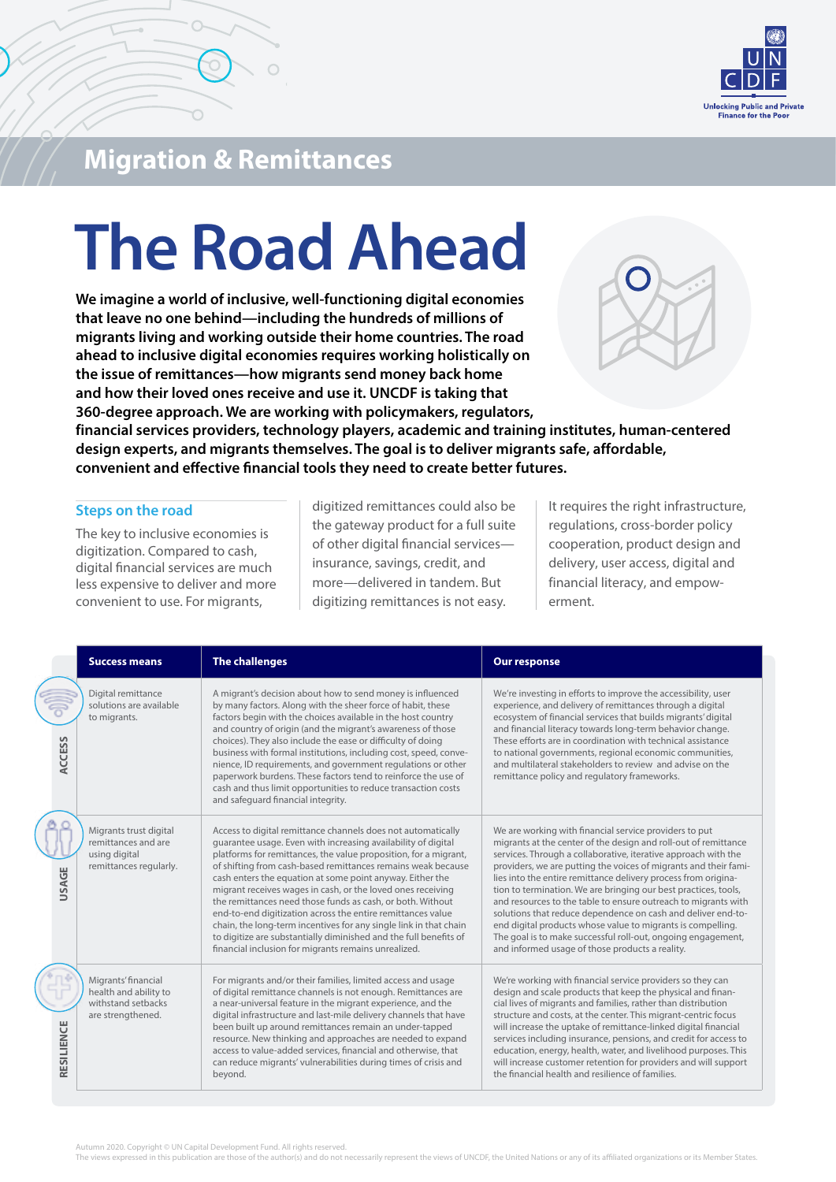

### **Migration & Remittances**

# **The Road Ahead**

**We imagine a world of inclusive, well-functioning digital economies that leave no one behind—including the hundreds of millions of migrants living and working outside their home countries. The road ahead to inclusive digital economies requires working holistically on the issue of remittances—how migrants send money back home and how their loved ones receive and use it. UNCDF is taking that 360-degree approach. We are working with policymakers, regulators,**



**financial services providers, technology players, academic and training institutes, human-centered design experts, and migrants themselves. The goal is to deliver migrants safe, affordable, convenient and effective financial tools they need to create better futures.**

#### **Steps on the road**

The key to inclusive economies is digitization. Compared to cash, digital financial services are much less expensive to deliver and more convenient to use. For migrants,

digitized remittances could also be the gateway product for a full suite of other digital financial services insurance, savings, credit, and more—delivered in tandem. But digitizing remittances is not easy.

It requires the right infrastructure, regulations, cross-border policy cooperation, product design and delivery, user access, digital and financial literacy, and empowerment.

|               | <b>Success means</b>                                                                     | <b>The challenges</b>                                                                                                                                                                                                                                                                                                                                                                                                                                                                                                                                                                                                                                                                                                        | <b>Our response</b>                                                                                                                                                                                                                                                                                                                                                                                                                                                                                                                                                                                                                                                                                                      |
|---------------|------------------------------------------------------------------------------------------|------------------------------------------------------------------------------------------------------------------------------------------------------------------------------------------------------------------------------------------------------------------------------------------------------------------------------------------------------------------------------------------------------------------------------------------------------------------------------------------------------------------------------------------------------------------------------------------------------------------------------------------------------------------------------------------------------------------------------|--------------------------------------------------------------------------------------------------------------------------------------------------------------------------------------------------------------------------------------------------------------------------------------------------------------------------------------------------------------------------------------------------------------------------------------------------------------------------------------------------------------------------------------------------------------------------------------------------------------------------------------------------------------------------------------------------------------------------|
| <b>ACCESS</b> | Digital remittance<br>solutions are available<br>to migrants.                            | A migrant's decision about how to send money is influenced<br>by many factors. Along with the sheer force of habit, these<br>factors begin with the choices available in the host country<br>and country of origin (and the migrant's awareness of those<br>choices). They also include the ease or difficulty of doing<br>business with formal institutions, including cost, speed, conve-<br>nience, ID requirements, and government regulations or other<br>paperwork burdens. These factors tend to reinforce the use of<br>cash and thus limit opportunities to reduce transaction costs<br>and safequard financial integrity.                                                                                          | We're investing in efforts to improve the accessibility, user<br>experience, and delivery of remittances through a digital<br>ecosystem of financial services that builds migrants' digital<br>and financial literacy towards long-term behavior change.<br>These efforts are in coordination with technical assistance<br>to national governments, regional economic communities,<br>and multilateral stakeholders to review and advise on the<br>remittance policy and regulatory frameworks.                                                                                                                                                                                                                          |
| <b>USAGE</b>  | Migrants trust digital<br>remittances and are<br>using digital<br>remittances regularly. | Access to digital remittance channels does not automatically<br>guarantee usage. Even with increasing availability of digital<br>platforms for remittances, the value proposition, for a migrant,<br>of shifting from cash-based remittances remains weak because<br>cash enters the equation at some point anyway. Either the<br>migrant receives wages in cash, or the loved ones receiving<br>the remittances need those funds as cash, or both. Without<br>end-to-end digitization across the entire remittances value<br>chain, the long-term incentives for any single link in that chain<br>to digitize are substantially diminished and the full benefits of<br>financial inclusion for migrants remains unrealized. | We are working with financial service providers to put<br>migrants at the center of the design and roll-out of remittance<br>services. Through a collaborative, iterative approach with the<br>providers, we are putting the voices of migrants and their fami-<br>lies into the entire remittance delivery process from origina-<br>tion to termination. We are bringing our best practices, tools,<br>and resources to the table to ensure outreach to migrants with<br>solutions that reduce dependence on cash and deliver end-to-<br>end digital products whose value to migrants is compelling.<br>The goal is to make successful roll-out, ongoing engagement,<br>and informed usage of those products a reality. |
| RESILIENCE    | Migrants' financial<br>health and ability to<br>withstand setbacks<br>are strengthened.  | For migrants and/or their families, limited access and usage<br>of digital remittance channels is not enough. Remittances are<br>a near-universal feature in the migrant experience, and the<br>digital infrastructure and last-mile delivery channels that have<br>been built up around remittances remain an under-tapped<br>resource. New thinking and approaches are needed to expand<br>access to value-added services, financial and otherwise, that<br>can reduce migrants' vulnerabilities during times of crisis and<br>beyond.                                                                                                                                                                                     | We're working with financial service providers so they can<br>design and scale products that keep the physical and finan-<br>cial lives of migrants and families, rather than distribution<br>structure and costs, at the center. This migrant-centric focus<br>will increase the uptake of remittance-linked digital financial<br>services including insurance, pensions, and credit for access to<br>education, energy, health, water, and livelihood purposes. This<br>will increase customer retention for providers and will support<br>the financial health and resilience of families.                                                                                                                            |

Autumn 2020. Copyright © UN Capital Development Fund. All rights reserved

The views expressed in this publication are those of the author(s) and do not necessarily represent the views of UNCDF, the United Nations or any of its affiliated organizations or its Member States.